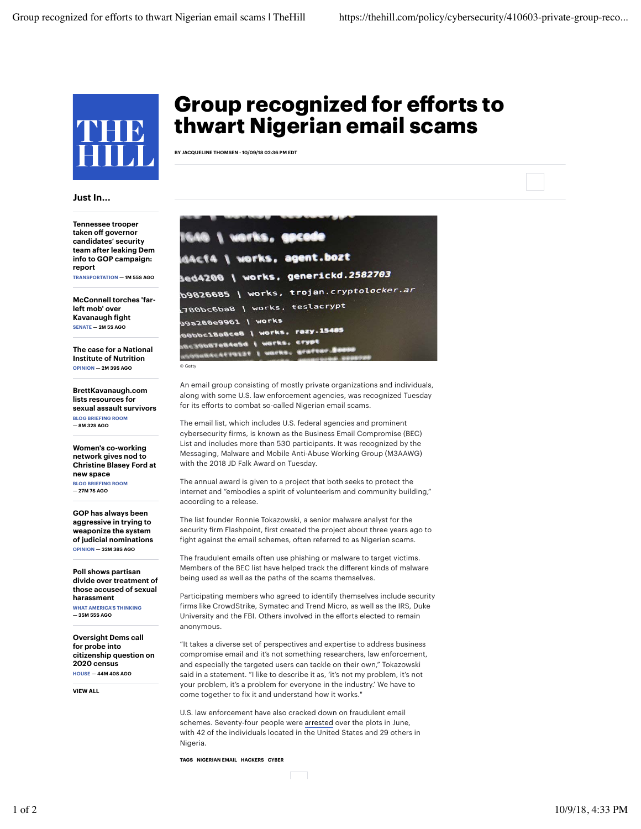

## Just In...

Tennessee trooper taken off governor candidates' security team after leaking Dem info to GOP campaign: report TRANSPORTATION — 1M 55S AGO

McConnell torches 'farleft mob' over Kavanaugh fight SENATE — 2M 5S AGO

The case for a National Institute of Nutrition OPINION — 2M 39S AGO

BrettKavanaugh.com lists resources for sexual assault survivors BLOG BRIEFING ROOM — 8M 32S AGO

Women's co-working network gives nod to Christine Blasey Ford at new space BLOG BRIEFING ROOM — 27M 7S AGO

GOP has always been aggressive in trying to weaponize the system of judicial nominations OPINION — 32M 38S AGO

Poll shows partisan divide over treatment of those accused of sexual harassment WHAT AMERICA'S THINKING

— 35M 55S AGO

Oversight Dems call for probe into citizenship question on 2020 census HOUSE — 44M 40S AGO

VIEW ALL

## Group recognized for efforts to thwart Nigerian email scams

BY JACQUELINE THOMSEN - 10/09/18 02:36 PM EDT

|                     | 1640   works, gocode                                                                                                                  |
|---------------------|---------------------------------------------------------------------------------------------------------------------------------------|
|                     | d4c14   works, agent.bozt                                                                                                             |
|                     | <b>3ed4200   works, generickd.2582703</b>                                                                                             |
|                     | b9826685   works, trojan.cryptol <i>ocker.ar</i>                                                                                      |
|                     | L780bc6ba8 \ works, teslacrypt                                                                                                        |
| 99a280e9961   works | 00bbc18a8ce8   works, razy.15485<br><b>SBE39687eB4eSd   works, crypt</b><br><b><i><u>ARGABACAFISTZE   WOPKS, GOSTEN ZEUNE</u></i></b> |
| © Getty             |                                                                                                                                       |

An email group consisting of mostly private organizations and individuals, along with some U.S. law enforcement agencies, was recognized Tuesday for its efforts to combat so-called Nigerian email scams.

The email list, which includes U.S. federal agencies and prominent cybersecurity firms, is known as the Business Email Compromise (BEC) List and includes more than 530 participants. It was recognized by the Messaging, Malware and Mobile Anti-Abuse Working Group (M3AAWG) with the 2018 JD Falk Award on Tuesday.

The annual award is given to a project that both seeks to protect the internet and "embodies a spirit of volunteerism and community building," according to a release.

The list founder Ronnie Tokazowski, a senior malware analyst for the security firm Flashpoint, first created the project about three years ago to fight against the email schemes, often referred to as Nigerian scams.

The fraudulent emails often use phishing or malware to target victims. Members of the BEC list have helped track the different kinds of malware being used as well as the paths of the scams themselves.

Participating members who agreed to identify themselves include security firms like CrowdStrike, Symatec and Trend Micro, as well as the IRS, Duke University and the FBI. Others involved in the efforts elected to remain anonymous.

"It takes a diverse set of perspectives and expertise to address business compromise email and it's not something researchers, law enforcement, and especially the targeted users can tackle on their own," Tokazowski said in a statement. "I like to describe it as, 'it's not my problem, it's not your problem, it's a problem for everyone in the industry.' We have to come together to fix it and understand how it works."

U.S. law enforcement have also cracked down on fraudulent email schemes. Seventy-four people were arrested over the plots in June, with 42 of the individuals located in the United States and 29 others in Nigeria.

TAGS NIGERIAN EMAIL HACKERS CYBER